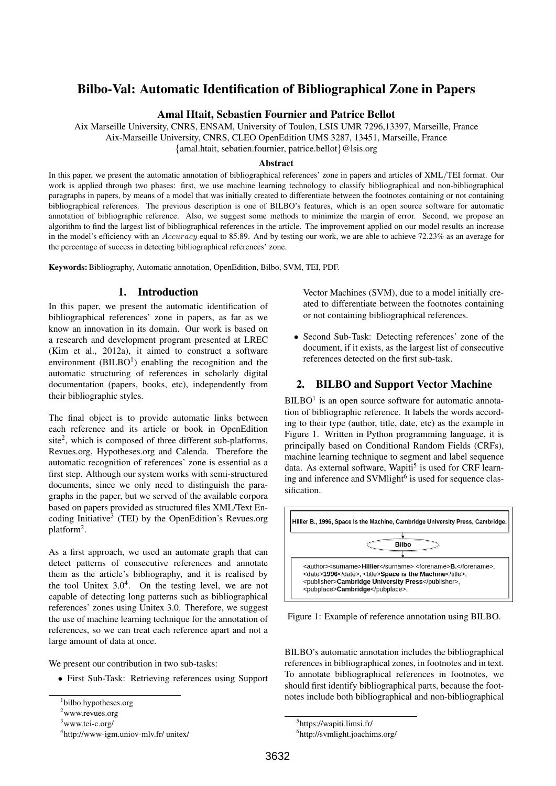# Bilbo-Val: Automatic Identification of Bibliographical Zone in Papers

### Amal Htait, Sebastien Fournier and Patrice Bellot

Aix Marseille University, CNRS, ENSAM, University of Toulon, LSIS UMR 7296,13397, Marseille, France Aix-Marseille University, CNRS, CLEO OpenEdition UMS 3287, 13451, Marseille, France {amal.htait, sebatien.fournier, patrice.bellot}@lsis.org

### Abstract

In this paper, we present the automatic annotation of bibliographical references' zone in papers and articles of XML/TEI format. Our work is applied through two phases: first, we use machine learning technology to classify bibliographical and non-bibliographical paragraphs in papers, by means of a model that was initially created to differentiate between the footnotes containing or not containing bibliographical references. The previous description is one of BILBO's features, which is an open source software for automatic annotation of bibliographic reference. Also, we suggest some methods to minimize the margin of error. Second, we propose an algorithm to find the largest list of bibliographical references in the article. The improvement applied on our model results an increase in the model's efficiency with an Accuracy equal to 85.89. And by testing our work, we are able to achieve 72.23% as an average for the percentage of success in detecting bibliographical references' zone.

Keywords:Bibliography, Automatic annotation, OpenEdition, Bilbo, SVM, TEI, PDF.

### 1. Introduction

In this paper, we present the automatic identification of bibliographical references' zone in papers, as far as we know an innovation in its domain. Our work is based on a research and development program presented at LREC (Kim et al., 2012a), it aimed to construct a software environment  $(BILBO<sup>1</sup>)$  enabling the recognition and the automatic structuring of references in scholarly digital documentation (papers, books, etc), independently from their bibliographic styles.

The final object is to provide automatic links between each reference and its article or book in OpenEdition site<sup>2</sup>, which is composed of three different sub-platforms, Revues.org, Hypotheses.org and Calenda. Therefore the automatic recognition of references' zone is essential as a first step. Although our system works with semi-structured documents, since we only need to distinguish the paragraphs in the paper, but we served of the available corpora based on papers provided as structured files XML/Text Encoding Initiative<sup>3</sup> (TEI) by the OpenEdition's Revues.org platform<sup>2</sup>.

As a first approach, we used an automate graph that can detect patterns of consecutive references and annotate them as the article's bibliography, and it is realised by the tool Unitex  $3.0<sup>4</sup>$ . On the testing level, we are not capable of detecting long patterns such as bibliographical references' zones using Unitex 3.0. Therefore, we suggest the use of machine learning technique for the annotation of references, so we can treat each reference apart and not a large amount of data at once.

We present our contribution in two sub-tasks:

• First Sub-Task: Retrieving references using Support

Vector Machines (SVM), due to a model initially created to differentiate between the footnotes containing or not containing bibliographical references.

• Second Sub-Task: Detecting references' zone of the document, if it exists, as the largest list of consecutive references detected on the first sub-task.

## 2. BILBO and Support Vector Machine

 $BILBO<sup>1</sup>$  is an open source software for automatic annotation of bibliographic reference. It labels the words according to their type (author, title, date, etc) as the example in Figure 1. Written in Python programming language, it is principally based on Conditional Random Fields (CRFs), machine learning technique to segment and label sequence data. As external software, Wapiti<sup>5</sup> is used for CRF learning and inference and SVMlight<sup>6</sup> is used for sequence classification.



Figure 1: Example of reference annotation using BILBO.

BILBO's automatic annotation includes the bibliographical references in bibliographical zones, in footnotes and in text. To annotate bibliographical references in footnotes, we should first identify bibliographical parts, because the footnotes include both bibliographical and non-bibliographical

<sup>1</sup> bilbo.hypotheses.org

<sup>2</sup>www.revues.org

 $3$ www.tei-c.org/

<sup>4</sup> http://www-igm.uniov-mlv.fr/ unitex/

<sup>5</sup> https://wapiti.limsi.fr/

<sup>6</sup> http://svmlight.joachims.org/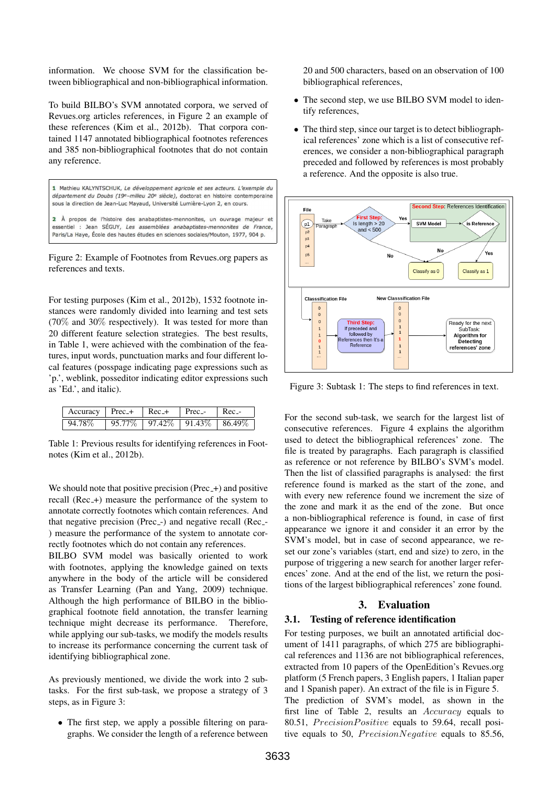information. We choose SVM for the classification between bibliographical and non-bibliographical information.

To build BILBO's SVM annotated corpora, we served of Revues.org articles references, in Figure 2 an example of these references (Kim et al., 2012b). That corpora contained 1147 annotated bibliographical footnotes references and 385 non-bibliographical footnotes that do not contain any reference.

1 Mathieu KALYNTSCHUK, Le développement agricole et ses acteurs. L'exemple du département du Doubs (19e-milieu 20<sup>e</sup> siècle), doctorat en histoire contemporaine sous la direction de Jean-Luc Mayaud, Université Lumière-Lyon 2, en cours. 2 À propos de l'histoire des anabaptistes-mennonites, un ouvrage majeur et essentiel : Jean SÉGUY, Les assemblées anabaptistes-mennonites de France,

Paris/La Have, École des hautes études en sciences sociales/Mouton, 1977, 904 p.

Figure 2: Example of Footnotes from Revues.org papers as references and texts.

For testing purposes (Kim et al., 2012b), 1532 footnote instances were randomly divided into learning and test sets  $(70\%$  and  $30\%$  respectively). It was tested for more than 20 different feature selection strategies. The best results, in Table 1, were achieved with the combination of the features, input words, punctuation marks and four different local features (posspage indicating page expressions such as 'p.', weblink, posseditor indicating editor expressions such as 'Ed.', and italic).

| $Accuracy \mid \text{Prec}_{+} \mid \text{Rec}_{-+} \mid \text{Prec}_{-} \mid \text{Rec}_{-}$ |                                   |  |  |
|-----------------------------------------------------------------------------------------------|-----------------------------------|--|--|
| 94.78%                                                                                        | $95.77\%$ 97.42\% 91.43\% 86.49\% |  |  |

Table 1: Previous results for identifying references in Footnotes (Kim et al., 2012b).

We should note that positive precision  $(Prec_{+})$  and positive recall (Rec<sub>-+</sub>) measure the performance of the system to annotate correctly footnotes which contain references. And that negative precision (Prec -) and negative recall (Rec -) measure the performance of the system to annotate correctly footnotes which do not contain any references.

BILBO SVM model was basically oriented to work with footnotes, applying the knowledge gained on texts anywhere in the body of the article will be considered as Transfer Learning (Pan and Yang, 2009) technique. Although the high performance of BILBO in the bibliographical footnote field annotation, the transfer learning technique might decrease its performance. Therefore, while applying our sub-tasks, we modify the models results to increase its performance concerning the current task of identifying bibliographical zone.

As previously mentioned, we divide the work into 2 subtasks. For the first sub-task, we propose a strategy of 3 steps, as in Figure 3:

• The first step, we apply a possible filtering on paragraphs. We consider the length of a reference between

20 and 500 characters, based on an observation of 100 bibliographical references,

- The second step, we use BILBO SVM model to identify references,
- The third step, since our target is to detect bibliographical references' zone which is a list of consecutive references, we consider a non-bibliographical paragraph preceded and followed by references is most probably a reference. And the opposite is also true.



Figure 3: Subtask 1: The steps to find references in text.

For the second sub-task, we search for the largest list of consecutive references. Figure 4 explains the algorithm used to detect the bibliographical references' zone. The file is treated by paragraphs. Each paragraph is classified as reference or not reference by BILBO's SVM's model. Then the list of classified paragraphs is analysed: the first reference found is marked as the start of the zone, and with every new reference found we increment the size of the zone and mark it as the end of the zone. But once a non-bibliographical reference is found, in case of first appearance we ignore it and consider it an error by the SVM's model, but in case of second appearance, we reset our zone's variables (start, end and size) to zero, in the purpose of triggering a new search for another larger references' zone. And at the end of the list, we return the positions of the largest bibliographical references' zone found.

### 3. Evaluation

#### 3.1. Testing of reference identification

For testing purposes, we built an annotated artificial document of 1411 paragraphs, of which 275 are bibliographical references and 1136 are not bibliographical references, extracted from 10 papers of the OpenEdition's Revues.org platform (5 French papers, 3 English papers, 1 Italian paper and 1 Spanish paper). An extract of the file is in Figure 5. The prediction of SVM's model, as shown in the first line of Table 2, results an Accuracy equals to 80.51, PrecisionPositive equals to 59.64, recall positive equals to 50,  $PrecisionNegative$  equals to 85.56,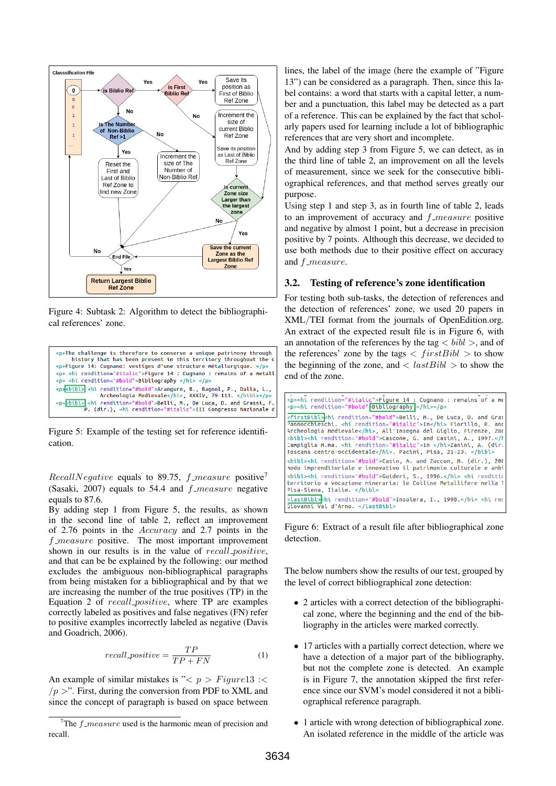

Figure 4: Subtask 2: Algorithm to detect the bibliographical references' zone.



Figure 5: Example of the testing set for reference identification.

RecallNegative equals to 89.75,  $f$ <sub>measure</sub> positive<sup>7</sup> (Sasaki, 2007) equals to 54.4 and  $f_{\text{}}$  measure negative equals to 87.6.

By adding step 1 from Figure 5, the results, as shown in the second line of table 2, reflect an improvement of 2.76 points in the Accuracy and 2.7 points in the  $f$ -measure positive. The most important improvement shown in our results is in the value of recall positive, and that can be be explained by the following: our method excludes the ambiguous non-bibliographical paragraphs from being mistaken for a bibliographical and by that we are increasing the number of the true positives (TP) in the Equation 2 of recall positive, where TP are examples correctly labeled as positives and false negatives (FN) refer to positive examples incorrectly labeled as negative (Davis and Goadrich, 2006).

$$
recall\_positive = \frac{TP}{TP + FN}
$$
 (1)

An example of similar mistakes is  $\degree\lt p > \textit{Figure}13 \text{ :} \lt$  $/p >$ ". First, during the conversion from PDF to XML and since the concept of paragraph is based on space between lines, the label of the image (here the example of "Figure 13") can be considered as a paragraph. Then, since this label contains: a word that starts with a capital letter, a number and a punctuation, this label may be detected as a part of a reference. This can be explained by the fact that scholarly papers used for learning include a lot of bibliographic references that are very short and incomplete.

And by adding step 3 from Figure 5, we can detect, as in the third line of table 2, an improvement on all the levels of measurement, since we seek for the consecutive bibliographical references, and that method serves greatly our purpose.

Using step 1 and step 3, as in fourth line of table 2, leads to an improvement of accuracy and  $f_{\text{}}$  measure positive and negative by almost 1 point, but a decrease in precision positive by 7 points. Although this decrease, we decided to use both methods due to their positive effect on accuracy and f\_measure.

#### 3.2. Testing of reference's zone identification

For testing both sub-tasks, the detection of references and the detection of references' zone, we used 20 papers in XML/TEI format from the journals of OpenEdition.org. An extract of the expected result file is in Figure 6, with an annotation of the references by the tag  $\langle bib \rangle$ , and of the references' zone by the tags  $\langle firstBibl \rangle$  to show the beginning of the zone, and  $\langle$  last  $Bibli$   $>$  to show the end of the zone.

| <p><hi rendition="#italic">Figure 14 : Cugnano : remains of a me<br/><p><hi <="" bibliography="" hi="" rendition="#bold"></hi></p></hi></p>                                                                                                                                                                                                                                                                              |
|--------------------------------------------------------------------------------------------------------------------------------------------------------------------------------------------------------------------------------------------------------------------------------------------------------------------------------------------------------------------------------------------------------------------------|
| <firstbibl> hi rendition="#bold"&gt;Belli, M., De Luca, D. and Gras<br/>Pannocchieschi. <hi rendition="#italic">In</hi> Fiorillo, R. and<br/>Archeologia Medievale, All'Insegna del Giglio, Firenze, 286<br/><btbl><ht rendition="#bold">Cascone, G. and Casini, A., 1997.Campiglia M.ma. <hi rendition="#italic">In </hi>Zanini, A. (dir.<br/>Toscana centro-occidentale. Pacini, Pisa, 21-23. </ht></btbl></firstbibl> |
| <bibl><hi rendition="#bold">Casin, A. and Zuccon, M. (dir.), 200<br/>nodo imprenditoriale e innovativo il patrimonio culturale e ambi</hi></bibl>                                                                                                                                                                                                                                                                        |
| sbibl> <hi rendition="#bold">Guideri, S., 1996.</hi> <hi rendition=""><br/>territorio a vocazione mineraria: le Colline Metallifere nella 1<br/>Pisa-Siena, Italie. </hi>                                                                                                                                                                                                                                                |
| <lastbibl>khi rendition="#bold"&gt;Insolera, I., 1990. <hi ren<br="">Giovanni Val d'Arno. </hi></lastbibl>                                                                                                                                                                                                                                                                                                               |

Figure 6: Extract of a result file after bibliographical zone detection.

The below numbers show the results of our test, grouped by the level of correct bibliographical zone detection:

- 2 articles with a correct detection of the bibliographical zone, where the beginning and the end of the bibliography in the articles were marked correctly.
- 17 articles with a partially correct detection, where we have a detection of a major part of the bibliography, but not the complete zone is detected. An example is in Figure 7, the annotation skipped the first reference since our SVM's model considered it not a bibliographical reference paragraph.
- 1 article with wrong detection of bibliographical zone. An isolated reference in the middle of the article was

<sup>&</sup>lt;sup>7</sup>The  $f$ <sub>measure</sub> used is the harmonic mean of precision and recall.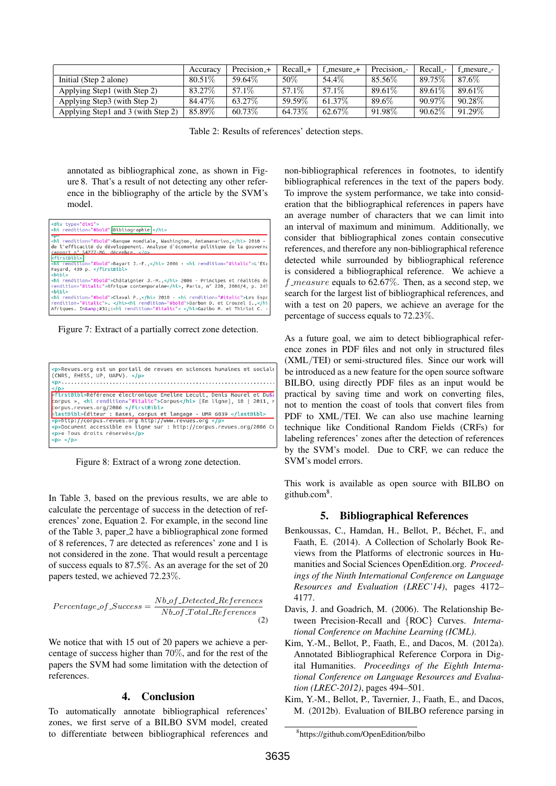|                                    | Accuracy | Precision $+$ | Recall_+ | $f$ mesure $+$ | Precision - | Recall - | f mesure - |
|------------------------------------|----------|---------------|----------|----------------|-------------|----------|------------|
| Initial (Step 2 alone)             | 80.51\%  | 59.64\%       | 50%      | 54.4%          | 85.56\%     | 89.75%   | 87.6%      |
| Applying Step1 (with Step 2)       | 83.27\%  | 57.1\%        | 57.1\%   | 57.1\%         | 89.61\%     | 89.61\%  | 89.61\%    |
| Applying Step3 (with Step 2)       | 84.47\%  | 63.27\%       | 59.59%   | 61.37\%        | 89.6%       | 90.97\%  | $90.28\%$  |
| Applying Step1 and 3 (with Step 2) | 85.89%   | 60.73%        | 64.73%   | 62.67\%        | 91.98%      | 90.62%   | 91.29%     |

Table 2: Results of references' detection steps.

annotated as bibliographical zone, as shown in Figure 8. That's a result of not detecting any other reference in the bibliography of the article by the SVM's model.



Figure 7: Extract of a partially correct zone detection.



Figure 8: Extract of a wrong zone detection.

In Table 3, based on the previous results, we are able to calculate the percentage of success in the detection of references' zone, Equation 2. For example, in the second line of the Table 3, paper 2 have a bibliographical zone formed of 8 references, 7 are detected as references' zone and 1 is not considered in the zone. That would result a percentage of success equals to 87.5%. As an average for the set of 20 papers tested, we achieved 72.23%.

$$
Percentage\_of\_Success = \frac{Nb\_of\_Detected\_References}{Nb\_of\_Total\_References}
$$
\n(2)

We notice that with 15 out of 20 papers we achieve a percentage of success higher than 70%, and for the rest of the papers the SVM had some limitation with the detection of references.

#### 4. Conclusion

To automatically annotate bibliographical references' zones, we first serve of a BILBO SVM model, created to differentiate between bibliographical references and non-bibliographical references in footnotes, to identify bibliographical references in the text of the papers body. To improve the system performance, we take into consideration that the bibliographical references in papers have an average number of characters that we can limit into an interval of maximum and minimum. Additionally, we consider that bibliographical zones contain consecutive references, and therefore any non-bibliographical reference detected while surrounded by bibliographical reference is considered a bibliographical reference. We achieve a f measure equals to 62.67%. Then, as a second step, we search for the largest list of bibliographical references, and with a test on 20 papers, we achieve an average for the percentage of success equals to 72.23%.

As a future goal, we aim to detect bibliographical reference zones in PDF files and not only in structured files (XML/TEI) or semi-structured files. Since our work will be introduced as a new feature for the open source software BILBO, using directly PDF files as an input would be practical by saving time and work on converting files, not to mention the coast of tools that convert files from PDF to XML/TEI. We can also use machine learning technique like Conditional Random Fields (CRFs) for labeling references' zones after the detection of references by the SVM's model. Due to CRF, we can reduce the SVM's model errors.

This work is available as open source with BILBO on github.com<sup>8</sup> .

#### 5. Bibliographical References

- Benkoussas, C., Hamdan, H., Bellot, P., Béchet, F., and Faath, E. (2014). A Collection of Scholarly Book Reviews from the Platforms of electronic sources in Humanities and Social Sciences OpenEdition.org. *Proceedings of the Ninth International Conference on Language Resources and Evaluation (LREC'14)*, pages 4172– 4177.
- Davis, J. and Goadrich, M. (2006). The Relationship Between Precision-Recall and {ROC} Curves. *International Conference on Machine Learning (ICML)*.
- Kim, Y.-M., Bellot, P., Faath, E., and Dacos, M. (2012a). Annotated Bibliographical Reference Corpora in Digital Humanities. *Proceedings of the Eighth International Conference on Language Resources and Evaluation (LREC-2012)*, pages 494–501.
- Kim, Y.-M., Bellot, P., Tavernier, J., Faath, E., and Dacos, M. (2012b). Evaluation of BILBO reference parsing in

<sup>8</sup> https://github.com/OpenEdition/bilbo